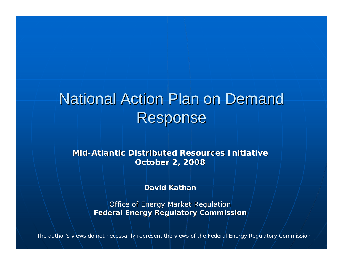# National Action Plan on Demand Response

**Mid-Atlantic Distributed Resources Initiative Atlantic Distributed Resources InitiativeOctober 2, 2008 October 2, 2008**

**David Kathan David Kathan**

Office of Energy Market Regulation **Federal Energy Regulatory Commission Federal Energy Regulatory Commission**

*The author's views do not necessarily represent the views of the Federal Energy Regulatory Commission*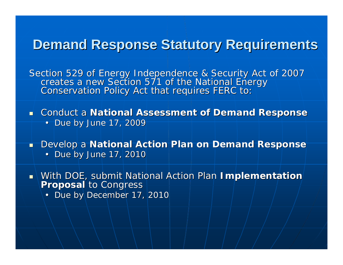#### **Demand Response Statutory Requirements**

Section 529 of Energy Independence & Security Act of 2007<br>creates a new Section 571 of the National Energy<br>Conservation Policy Act that requires FERC to:

**E** Conduct a National Assessment of Demand Response • Due by June 17, 2009

**Ph** Develop a **National Action Plan on Demand Response** 

 $\cdot$  Due by June 17, 2010

With DOE, submit National Action Plan **Implementation**<br>Proposal to Congress

• Due by December 17, 2010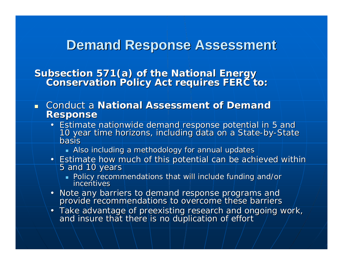#### **Demand Response Assessment**

Subsection 571(a) of the National Energy<br>Conservation Policy Act requires FERC to:

- **Example 2 Conduct a National Assessment of Demand Response Response**
	- Estimate nationwide demand response potential in 5 and<br>10 year time horizons, including data on a State-by-State basis
		- $\blacksquare$  Also including a methodology for annual updates
	- Estimate how much of this potential can be achieved within ntial can be achieved within  $\overline{5}$  and 10 years
		- Dolicy recommendations that will include funding and/or incentives incentives
	- Note any barriers to demand response programs and<br>provide recommendations to overcome these barriers
	- Take advantage of preexisting research and ongoing work,<br>\ and insure that there is no duplication of effort and insure that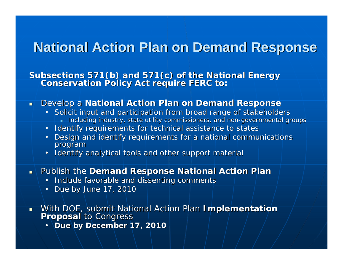### **National Action Plan on Demand Response**

Subsections 571(b) and 571(c) of the National Energy<br>Conservation Policy Act require FERC to:

- $\blacksquare$ **Develop a National Action Plan on Demand Response** 
	- Solicit input and participation from broad range of stakeholders  $\blacksquare$  Including industry, state utility commissioners, and non-governmental groups  $\blacksquare$
	- Identify requirements for technical assistance to states
	- Design and identify requirements for a national communications program
	- Identify analytical tools and other support material
- **Republish the Demand Response National Action Plan Plan** 
	- Include favorable and dissenting comments
	- Due by June 17, 2010
- $\blacksquare$ With DOE, submit National Action Plan **Implementation**<br>**Proposal** to Congress
	- **Due by December 17, 2010**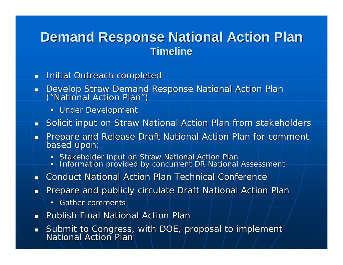#### **Demand Response National Action Plan Timeline Timeline**

- $\blacksquare$ Initial Outreach completed
- $\blacksquare$ Develop Straw Demand Response National Action Plan ("National Action Plan " $\binom{n}{k}$ 
	- Under Development
- $\blacksquare$ Solicit input on Straw National Action Plan from stakeholders
- $\blacksquare$ Prepare and Release Draft National Action Plan for comment based upon:
	- •• Stakeholder input on Straw National Action Plan
	- Information provided by concurrent DR National Assessment •
- n. Conduct National Action Plan Technical Conference
- $\blacksquare$ Prepare and publicly circulate Draft National Action Plan
	- Gather comments
- $\blacksquare$ Publish Final National Action Plan
- $\blacksquare$ Submit to Congress, with DOE, proposal to implement<br>National Action Plan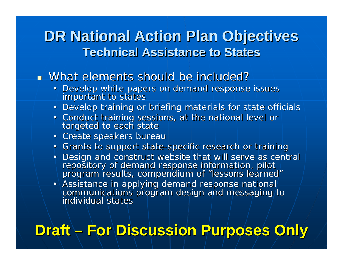### **DR National Action Plan Objectives Technical Assistance to States Technical Assistance to States**

What elements should be included?

- Develop white papers on demand response issues important to states
- Develop training or briefing materials for state officials
- Conduct training sessions, at the national level or<br>| targeted to each state
- Create speakers bureau
- Grants to support state-specific research or training
- Design and construct website that will serve as central<br>| repository of demand response information, pilot<br>| program results, compendium of "lessons learned" "
- $\bullet$   $\mathord{\hspace{1pt}\text{--}\hspace{1pt}}$ communications program design and messaging to individual states

# **Draft – For Discussion Purposes Only**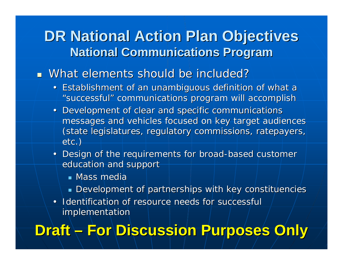### **DR National Action Plan Objectives National Communications Program National Communications Program**

#### **Nhat elements should be included?**

- Establishment of an unambiguous definition of what a "successful" communications program will accomplish
- Development of clear and specific communications messages and vehicles focused on key target audiences (state legislatures, regulatory commissions, ratepayers, etc.)
- Design of the requirements for broad-based customer education and support
	- $\blacksquare$  Mass media
	- $\textcolor{red}{\bullet}$  Development of partnerships with key constituencies
- Identification of resource needs for successful implementation

# **Draft –For Discussion Purposes Only For Discussion Purposes Only**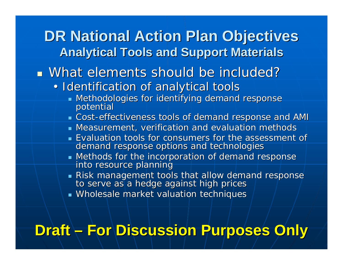### **DR National Action Plan Objectives Analytical Tools and Support Materials Analytical Tools and Support Materials**

What elements should be included?

- Identification of analytical tools
	- $\blacksquare$  Methodologies for identifying demand response<br>potential
	- $\blacksquare$  Cost-effectiveness tools of demand response and AMI
	- **Measurement, verification and evaluation methods**
	- **E**valuation tools for consumers for the assessment of demand response options and technologies
	- $\blacksquare$  Methods for the incorporation of demand response<br>into resource planning
	- Risk management tools that allow demand response to serve as a hedge against high prices to serve as a
	- **Wholesale market valuation techniques w**

## **Draft – For Discussion Purposes Only**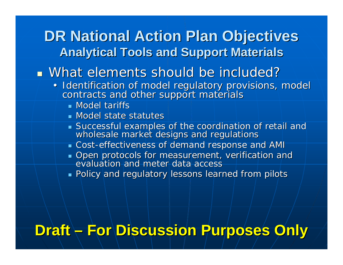### **DR National Action Plan Objectives Analytical Tools and Support Materials Analytical Tools and Support Materials**

What elements should be included?

- Identification of model regulatory provisions, model<br>contracts and other support materials
	- **Nodel tariffs**
	- Model state statutes
	- $\textsf{\textsf{\textsf{S}uccessful}}$  examples of the coordination of retail and wholesale market designs and regulations
	- **Example 2 Cost-effectiveness of demand response and AMI**
	- $\blacksquare$  Open protocols for measurement, verification and<br>evaluation and meter data access evaluation and
	- $\blacksquare$  Policy and regulatory lessons learned from pilots

# **Draft –For Discussion Purposes Only For Discussion Purposes Only**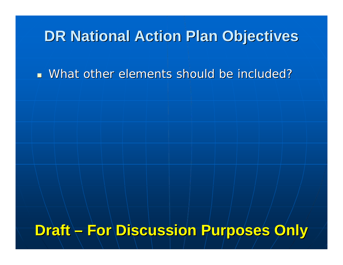### **DR National Action Plan Objectives**

What other elements should be included?

### **Draft – For Discussion Purposes Only**